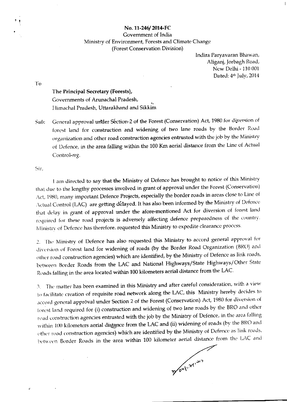## No. 11-246/2014-FC Government of India Ministry of Environment, Forests and Climate Change (Forest Conservation Division)

Indira Paryavaran Bhawan, Aliganj, Jorbagh Road, New Delhi - 110 001 Dated: 4th July, 2014

 $\mathbf{I}$  o

The Principal Secretary (Forests), Governments of Arunachal Pradesh, Himachal Pradesh, Uttarakhand and Sikkim

General approval under Séction-2 of the Forest (Conservation) Act, 1980 for diversion of Sub: forest land for construction and widening of two lane roads by the Border Road organization and other road construction agencies entrusted with the job by the Ministry of Defence, in the area falling within the 100 Km aerial distance from the Line of Actual Control-reg.

Sir.

I am directed to say that the Ministry of Defence has brought to notice of this Ministry that due to the lengthy processes involved in grant of approval under the Forest (Conservation) Act, 1980, many important Defence Projects, especially the border roads in areas close to Line of Actual Control (LAC) are getting delayed. It has also been informed by the Ministry of Defence that delay in grant of approval under the afore-mentioned Act for diversion of forest land required for these road projects is adversely affecting defence preparedness of the country. Ministry of Defence has therefore. requested this Ministry to expedite clearance process.

2. The Ministry of Defence has also requested this Ministry to accord general approval for diversion of Forest land for widening of roads (by the Border Road Organization (BRC) and other road construction agencies) which are identified, by the Ministry of Defence as link roads, between Border Roads from the LAC and National Highways/State Highways/Other State Roads falling in the area located within 100 kilometers aerial distance from the LAC.

3. The matter has been examined in this Ministry and after careful consideration, with a view to facilitate creation of requisite road network along the LAC, this Ministry hereby decides to accord general approval under Section 2 of the Forest (Conservation) Act, 1980 for diversion of forest land required for (i) construction and widening of two lane roads by the BRO and other road construction agencies entrusted with the job by the Ministry of Defence, in the area falling within 100 kilometers aerial distance from the LAC and (ii) widening of roads (by the BRO and other road construction agencies) which are identified by the Ministry of Defence as link roads, between Border Roads in the area within 100 kilometer aerial distance from the LAC and

Moul May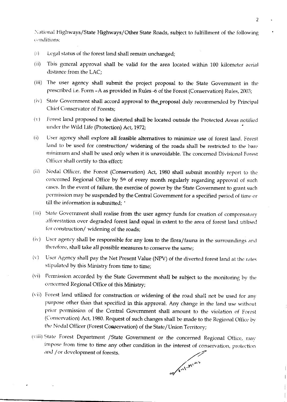National Highways/State Highways/Other State Roads, subject to fulfillment of the following conditions:

- Legal status of the forest land shall remain unchanged;  $(i)$
- $(ii)$ This general approval shall be valid for the area located within 100 kilometer aerial distance from the LAC;
- (iii) The user agency shall submit the project proposal to the State Government in the prescribed i.e. Form - A as provided in Rules -6 of the Forest (Conservation) Rules, 2003;
- (iv) State Government shall accord approval to the proposal duly recommended by Principal Chief Conservator of Forests:
- Forest land proposed to be diverted shall be located outside the Protected Areas notified  $(V)$ under the Wild Life (Protection) Act, 1972;
- $(i)$ User agency shall explore all feasible alternatives to minimize use of forest land. Forest land to be used for construction/ widening of the roads shall be restricted to the bare minimum and shall be used only when it is unavoidable. The concerned Divisional Forest Officer shall certify to this effect;
- Nodal Officer, the Forest (Conservation) Act, 1980 shall submit monthly report to the  $(ii)$ concerned Regional Office by 5<sup>th</sup> of every month regularly regarding approval of such cases. In the event of failure, the exercise of power by the State Government to grant such permission may be suspended by the Central Government for a specified period of time or till the information is submitted:
- (iii) State Government shall realise from the user agency funds for creation of compensatory afforestation over degraded forest land equal in extent to the area of forest land utilised for construction/ widening of the roads;
- (iv) User agency shall be responsible for any loss to the flora/fauna in the surroundings and therefore, shall take all possible measures to conserve the same;
- User Agency shall pay the Net Present Value (NPV) of the diverted forest land at the rates  $(v)$ stipulated by this Ministry from time to time;
- (vi) Permission accorded by the State Government shall be subject to the monitoring by the concerned Regional Office of this Ministry;
- (vii) Forest land utilised for construction or widening of the road shall not be used for any purpose other than that specified in this approval. Any change in the land use without prior permission of the Central Government shall amount to the violation of Forest (Conservation) Act, 1980. Request of such changes shall be made to the Regional Office by the Nodal Officer (Forest Conservation) of the State/Union Territory;
- (viii) State Forest Department /State Government or the concerned Regional Office, may impose from time to time any other condition in the interest of conservation, protection and /or development of forests.

or out Min

 $\overline{2}$